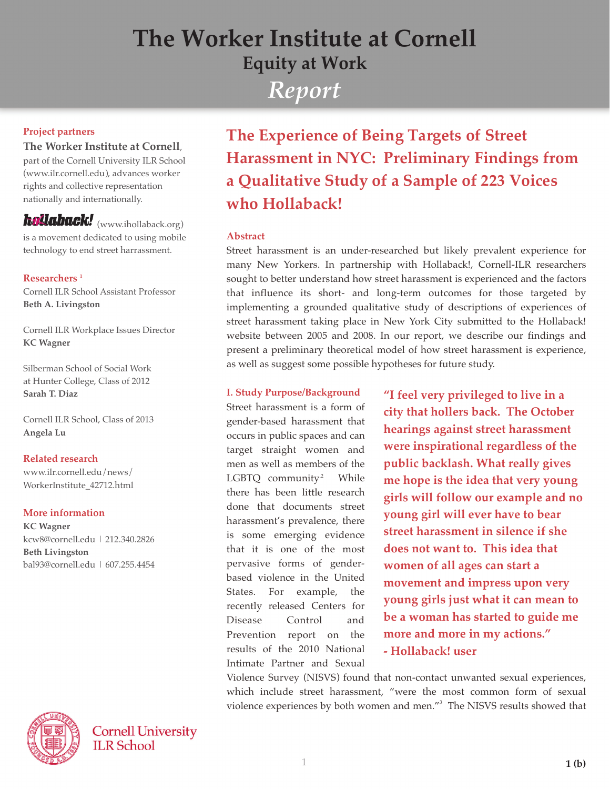# *Report* **The Worker Institute at Cornell Equity at Work**

#### **Project partners**

#### **The Worker Institute at Cornell,**

 part of the Cornell University ILR School (www.ilr.cornell.edu), advances worker rights and collective representation nationally and internationally.

## hollaback! (www.ihollaback.org)

 is a movement dedicated to using mobile technology to end street harrassment.

#### $\mathbf{Researchers}^{-1}$

 Cornell ILR School Assistant Professor  **Beth A. Livingston**

 Cornell ILR Workplace Issues Director  **KC Wagner**

 Silberman School of Social Work at Hunter College, Class of 2012  **Sarah T. Diaz**

 Cornell ILR School, Class of 2013  **Angela Lu**

#### **Related research**

 www.ilr.cornell.edu/news/ WorkerInstitute\_42712.html

#### **More information**

 **KC Wagner** kcw8@cornell.edu | 212.340.2826  **Beth Livingston** bal93@cornell.edu | 607.255.4454

**Cornell University ILR School** 

**The Experience of Being Targets of Street Harassment in NYC: Preliminary Findings from** a Qualitative Study of a Sample of 223 Voices  $\bf$ who Hollaback!

#### Abstract

 Street harassment is an under-researched but likely prevalent experience for many New Yorkers. In partnership with Hollaback!, Cornell-ILR researchers sought to better understand how street harassment is experienced and the factors that influence its short- and long-term outcomes for those targeted by implementing a grounded qualitative study of descriptions of experiences of street harassment taking place in New York City submitted to the Hollaback! website between 2005 and 2008. In our report, we describe our findings and present a preliminary theoretical model of how street harassment is experience, as well as suggest some possible hypotheses for future study.

#### **I. Study Purpose/Background**

 Street harassment is a form of gender-based harassment that occurs in public spaces and can target straight women and men as well as members of the LGBTO community<sup>2</sup> While there has been little research done that documents street harassment's prevalence, there is some emerging evidence that it is one of the most pervasive forms of gender based violence in the United States. For example, the recently released Centers for Disease Control and Prevention report on the results of the 2010 National Intimate Partner and Sexual *"***<b>I** feel very privileged to live in a city that hollers back. The October **hearings against street harassment Were inspirational regardless of the public backlash. What really gives he idea that very young** girls will follow our example and no **voung girl will ever have to bear street harassment in silence if she does not want to. This idea that** *x***<b>***x***<b>b** *c***<b>d z** *c c***<b>***c c c c***<b>***c c c c c c c c c c c c c c c c c c c c c c c c c c c* **novement and impress upon very young girls just what it can mean to be a woman has started to guide me** more and more in my actions." - Hollaback! user

 Violence Survey (NISVS) found that non-contact unwanted sexual experiences, which include street harassment, "were the most common form of sexual violence experiences by both women and men."<sup>3</sup> The NISVS results showed that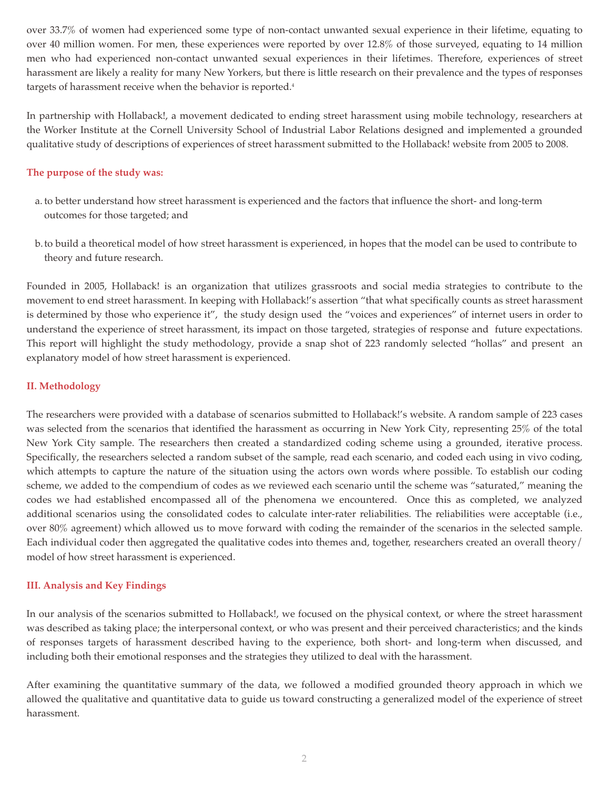over 33.7% of women had experienced some type of non-contact unwanted sexual experience in their lifetime, equating to over 40 million women. For men, these experiences were reported by over 12.8% of those surveyed, equating to 14 million men who had experienced non-contact unwanted sexual experiences in their lifetimes. Therefore, experiences of street harassment are likely a reality for many New Yorkers, but there is little research on their prevalence and the types of responses targets of harassment receive when the behavior is reported.<sup>4</sup>

In partnership with Hollaback!, a movement dedicated to ending street harassment using mobile technology, researchers at the Worker Institute at the Cornell University School of Industrial Labor Relations designed and implemented a grounded qualitative study of descriptions of experiences of street harassment submitted to the Hollaback! website from 2005 to 2008.

#### The purpose of the study was:

- a. to better understand how street harassment is experienced and the factors that influence the short- and long-term outcomes for those targeted; and
- b. to build a theoretical model of how street harassment is experienced, in hopes that the model can be used to contribute to theory and future research.

 Founded in 2005, Hollaback! is an organization that utilizes grassroots and social media strategies to contribute to the movement to end street harassment. In keeping with Hollaback!'s assertion "that what specifically counts as street harassment is determined by those who experience it", the study design used the "voices and experiences" of i nternet users in order to understand the experience of street harassment, its impact on those targeted, strategies of response and future expectations. This report will highlight the study methodology, provide a snap shot of 223 randomly selected "hollas" and present an explanatory model of how street harassment is experienced.

#### **II.** Methodology

The researchers were provided with a database of scenarios submitted to Hollaback!'s website. A random sample of 223 cases was selected from the scenarios that identified the harassment as occurring in New York City, representing 25% of the total New York City sample. The researchers then created a standardized coding scheme using a grounded, iterative process. Specifically, the researchers selected a random subset of the sample, read each scenario, and coded each using in vivo coding, which attempts to capture the nature of the situation using the actors own words where possible. To establish our coding scheme, we added to the compendium of codes as we reviewed each scenario until the scheme was "saturated," meaning the codes we had established encompassed all of the phenomena we encountered. Once this as completed, we analyzed additional scenarios using the consolidated codes to calculate inter-rater reliabilities. The reliabilities were acceptable (i.e., over 80% agreement) which allowed us to move forward with coding the remainder of the scenarios in the selected sample. Each individual coder then aggregated the qualitative codes into themes and, together, researchers created an overall theory/ model of how street harassment is experienced.

#### **III. Analysis and Key Findings**

In our analysis of the scenarios submitted to Hollaback!, we focused on the physical context, or where the street harassment was described as taking place; the interpersonal context, or who was present and their perceived characteristics; and the kinds of responses targets of harassment described having to the experience, both short- and long-term when discussed, and including both their emotional responses and the strategies they utilized to deal with the harassment.

After examining the quantitative summary of the data, we followed a modified grounded theory approach in which we allowed the qualitative and quantitative data to guide us toward constructing a generalized model of the experience of street harassment.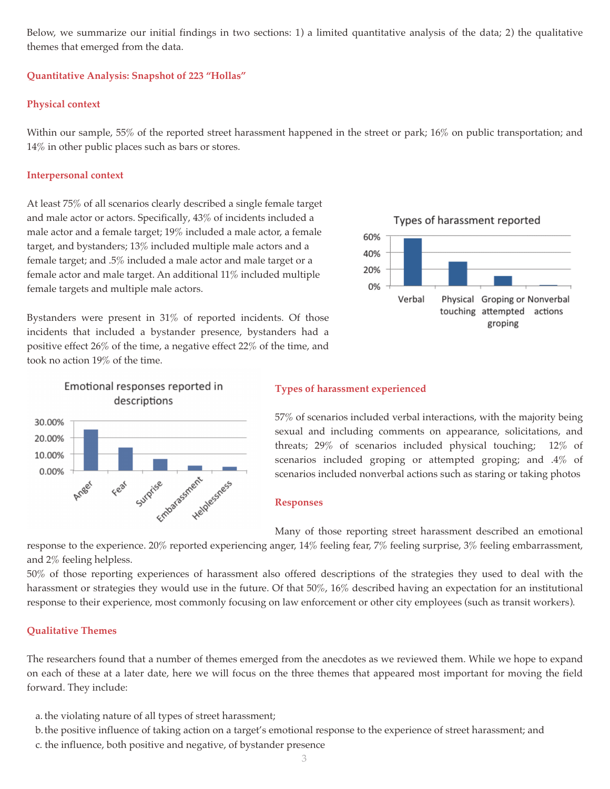Below, we summarize our initial findings in two sections: 1) a limited quantitative analysis of the data; 2) the qualitative themes that emerged from the data.

#### Ouantitative Analysis: Snapshot of 223 "Hollas"

#### **Physical context**

Within our sample, 55% of the reported street harassment happened in the street or park; 16% on public transportation; and 14% in other public places such as bars or stores.

#### **Interpersonal context**

 At least 75% of all scenarios clearly described a single female target and male actor or actors. Specifically, 43% of incidents included a male actor and a female target; 19% included a male actor, a female target, and bystanders; 13% included multiple male actors and a female target; and .5% included a male actor and male target or a female actor and male target. An additional 11% included multiple female targets and multiple male actors.

 Bystanders were present in 31% of reported incidents. Of those incidents that included a bystander presence, bystanders had a positive effect 26% of the time, a negative effect 22% of the time, and took no action 19% of the time.









### **Types of harassment experienced**

 57% of scenarios included verbal interactions, with the majority being sexual and including comments on appearance, solicitations, and threats; 29% of scenarios included physical touching; 12% of scenarios included groping or attempted groping; and .4% of scenarios included nonverbal actions such as staring or taking photos

#### **Responses**

Many of those reporting street harassment described an emotional

 response to the experience. 20% reported experiencing anger, 14% feeling fear, 7% feeling surprise, 3% feeling embarrassment, and 2% feeling helpless.

50% of those reporting experiences of harassment also offered descriptions of the strategies they used to deal with the harassment or strategies they would use in the future. Of that  $50\%$ ,  $16\%$  described having an expectation for an institutional response to their experience, most commonly focusing on law enforcement or other city employees (such as transit workers).

#### **Oualitative Themes**

 The researchers found that a number of themes emerged from the anecdotes as we reviewed them. While we hope to expand on each of these at a later date, here we will focus on the three themes that appeared most important for moving the field forward. They include:

- a. the violating nature of all types of street harassment;
- b. the positive influence of taking action on a target's emotional response to the experience of street harassment; and
- c. the influence, both positive and negative, of bystander presence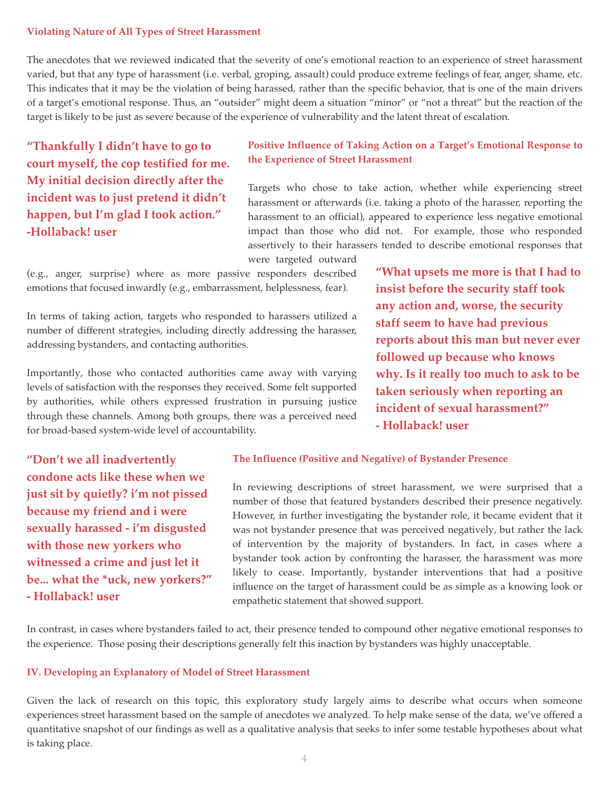#### **Violating Nature of All Types of Street Harassment**

The anecdotes that we reviewed indicated that the severity of one's emotional reaction to an experience of street harassment varied, but that any type of harassment (i.e. verbal, groping, assault) could produce extreme feelings of fear, anger, shame, etc. This indicates that it may be the violation of being harassed, rather than the specific behavior, that is one of the main drivers of a target's emotional response. Thus, an "outsider" might deem a situation "minor" or "not a threat" but the reaction of the target is likely to be just as severe because of the experience of vulnerability and the latent threat of escalation.

*"Thankfully I didn't have to go to* **z***court myself, the cop testified for me.* **My initial decision directly after the incident was to just pretend it didn't happen, but I'm glad I took action."** -Hollaback! user

#### Positive Influence of Taking Action on a Target's Emotional Response to **the Experience of Street Harassment**

 Targets who chose to take action, whether while experiencing street harassment or afterwards (i.e. taking a photo of the harasser, reporting the harassment to an official), appeared to experience less negative emotional impact than those who did not. For example, those who responded assertively to their harassers tended to describe emotional responses that were targeted outward

 (e.g., anger, surprise) where as more passive responders described emotions that focused inwardly (e.g., embarrassment, helplessness, fear).

 In terms of taking action, targets who responded to harassers utilized a number of different strategies, including directly addressing the harasser, addressing bystanders, and contacting authorities.

 Importantly, those who contacted authorities came away with varying levels of satisfaction with the responses they received. Some felt supported by authorities, while others expressed frustration in pursuing justice through these channels. Among both groups, there was a perceived need for broad-based system-wide level of accountability.

"Don't we all inadvertently *<u>condone</u>* **acts like these when we** *just sit by quietly? i'm not pissed* **because my friend and i were** sexually harassed - i'm disgusted **with those new yorkers who Witnessed a crime and just let it be...** what the \*uck, new yorkers?" - Hollaback! user

#### The Influence (Positive and Negative) of Bystander Presence

 In reviewing descriptions of street harassment, we were surprised that a number of those that featured bystanders described their presence negatively. However, in further investigating the bystander role, it became evident that it was not bystander presence that was perceived negatively, but rather the lack of intervention by the majority of bystanders. In fact, in cases where a bystander took action by confronting the harasser, the harassment was more likely to cease. Importantly, bystander interventions that had a positive influence on the target of harassment could be as simple as a knowing look or empathetic statement that showed support.

In contrast, in cases where bystanders failed to act, their presence tended to compound other negative emotional responses to the experience. Those posing their descriptions generally felt this inaction by bystanders was highly unacceptable.

#### **IV. Developing an Explanatory of Model of Street Harassment**

Given the lack of research on this topic, this exploratory study largely aims to describe what occurs when someone experiences street harassment based on the sample of anecdotes we analyzed. To help make sense of the data, we've offered a quantitative snapshot of our findings as well as a qualitative analysis that seeks to infer some testable hypotheses about what is taking place.

staff seem to have had previous reports about this man but never ever followed up because who knows *x***<sub><b>h**</sub>*v***.** Is it really too much to ask to be taken seriously when reporting an  $\frac{1}{2}$  incident of sexual harassment?" - Hollaback! user

"What upsets me more is that I had to insist before the security staff took any action and, worse, the security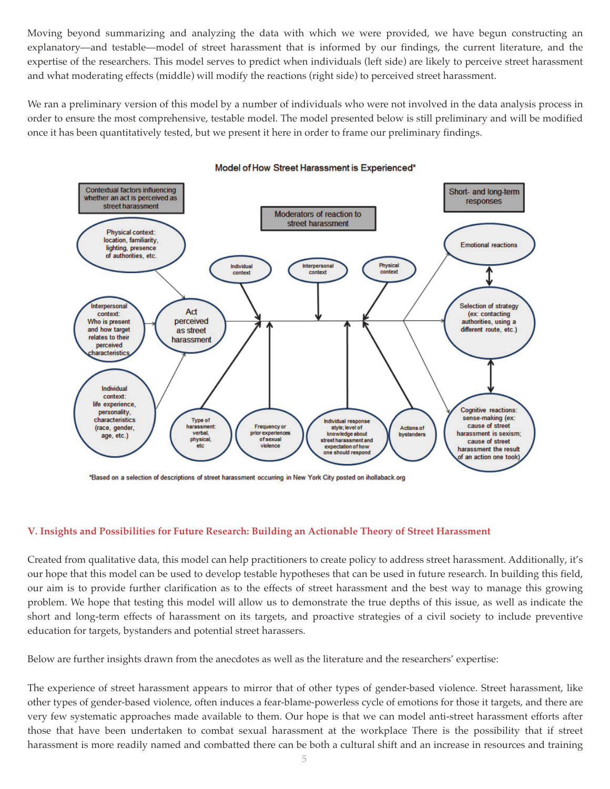Moving beyond summarizing and analyzing the data with which we were provided, we have begun constructing an explanatory—and testable—model of street harassment that is informed by our findings, the current literature, and the expertise of the researchers. This model serves to predict when individuals (left side) are likely to perceive street harassment and what moderating effects (middle) will modify the reactions (right side) to perceived street harassment.

We ran a preliminary version of this model by a number of individuals who were not involved in the data analysis process in order to ensure the most comprehensive, testable model. The model presented below is still prelimina ry and will be modified once it has been quantitatively tested, but we present it here in order to frame our preliminary findings.



#### Model of How Street Harassment is Experienced\*

\*Based on a selection of descriptions of street harassment occurring in New York City posted on ihollaback.org

#### V. Insights and Possibilities for Future Research: Building an Actionable Theory of Street Harassment

 Created from qualitative data, this model can help practitioners to create policy to address street harassment. Additionally, it's our hope that this model can be used to develop testable hypotheses that can be used in future research. In building this field, our aim is to provide further clarification as to the effects of street harassment and the best way to manage this growing problem. We hope that testing this model will allow us to demonstrate the true depths of this issue, as well as indicate the short and long-term effects of harassment on its targets, and proactive strategies of a civil society to include preventive education for targets, bystanders and potential street harassers.

Below are further insights drawn from the anecdotes as well as the literature and the researchers' expertise:

 The experience of street harassment appears to mirror that of other types of gender-based violence. Street harassment, like other types of gender-based violence, often induces a fear-blame-powerless cycle of emotions for tho se it targets, and there are very few systematic approaches made available to them. Our hope is that we can model anti-street harassment efforts after those that have been undertaken to combat sexual harassment at the workplace There is the possibility that if street harassment is more readily named and combatted there can be both a cultural shift and an increase in resources and training